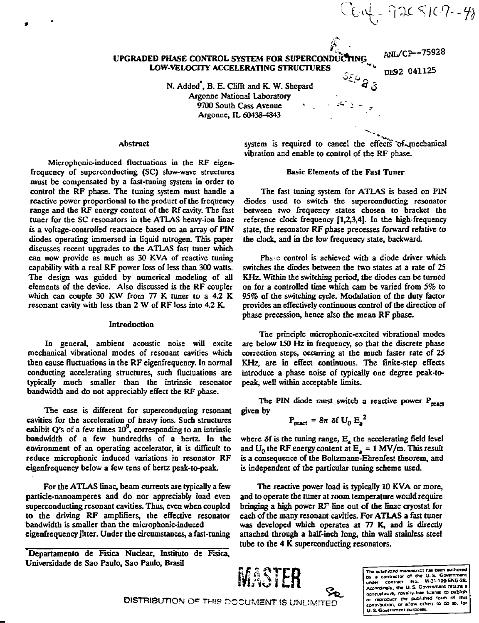$C_{\mathsf{U}}$  of  $\gamma$  and  $\gamma$  is  $\gamma$  and  $\gamma$ 

# **UPGRADED PHASE CONTROL SYSTEM FOR SUPERCONDUCTING LOW-VELOCITY ACCELERATING STRUCTURES**

ANL/CP--75928 DE92 041125

N. Added<sup>"</sup>, B. E. Clifft and K. W. Shepard **Argonne National Laboratory 9700 South Cass Avenue \*** *-^ • ~<sup>r</sup>* **Argonne, IL 60438-4843**

# **Abstract**

**Microphonic-induced fluctuations in the RF eigenfrequency of superconducting (SC) slow-wave structures must be compensated by a fast-tuning system in order to control the RF phase. The tuning system must handle a reactive power proportional to the product of the frequency range and the RF energy content of the Rf cavity. The fast tuner for the SC resonators in the ATLAS heavy-ion linac is a voltage-controlled reactance based on an array of PIN diodes operating immersed in liquid nitrogen. This paper discusses recent upgrades to the ATLAS fast tuner which can now provide as much as 30 KVA of reactive tuning capability with a real RF power loss of less than 300 watts. The design was guided by numerical modeling of all elements of the device. Also discussed is the RF coupler which can couple 30 KW from 77 K tuner to a 4.2 K resonant cavity with less than 2 W of RF loss into 4.2 K.**

## **Introduction**

**In general, ambient acoustic noise will excite mechanical vibrational modes of resonant cavities which then cause fluctuations in the RF eigenfrequency. In normal conducting accelerating structures, such fluctuations are typically much smaller than the intrinsic resonator bandwidth and do not appreciably effect the RF phase.**

**The case is different for superconducting resonant cavities for the acceleration of heavy ions. Such structures exhibit Q's of a few times 10 , corresponding to an intrinsic bandwidth of a few hundredths of a hertz. la the environment of an operating accelerator, it is difficult to reduce microphonic induced variations in resonator RF eigenfrequency below a few tens of hertz peak-to-peak.**

**For the ATLAS linac, beam currents are typically a few particle-nanoamperes and do nor appreciably load even superconducting resonant cavities. Thus, even when coupled to the driving RF amplifiers, the effective resonator bandwidth is smaller than the microphonic-induced eigenfrequency jitter. Under the circumstances, a fast-tuning**

**Departamento de Fisica Nuclear, Instituto de Fisica, Univcrsidade de Sao Paulo, Sao Paulo, Brasil**

system is required to cancel the effects of mechanical **vibration and enable to control of the RF phase.**

## **Basic Elements of the Fast Tuner**

**The fast tuning system for ATLAS is based on PIN diodes used to switch the superconducting resonator between two frequency states chosen to bracket the reference clock frequency [1,23,4]. In the high-frequency state, the resonator RF phase processes forward relative to the clock, and in the low frequency state, backward.**

**Pha e control is achieved with a diode driver which switches the diodes between the two states at a rate of 23 KHz. Within the switching period, the diodes can be turned on for a controlled time which cam be varied from** *5%* **to 95% of the switching cycle. Modulation of the duty factor provides an effectively continuous control of the direction of phase precession, hence also the mean RF phase.**

**The principle microphonic-excited vibrational modes are below 150 Hz in frequency, so that the discrete phase correction steps, occurring at the much faster rate of 25 KHz, are in effect continuous. The finite-step effects introduce a phase noise of typically one degree peak-topeak, well within acceptable limits.**

The PIN diode must switch a reactive power  $P_{\text{mean}}$ **given by**

$$
P_{\text{react}} = 8\pi \delta f U_0 E_a^2
$$

**where** *Si* **is the tuning range, Ea the accelerating field level** and  $U_0$  the RF energy content at  $E_a = 1 \text{ MV/m}$ . This result **is a consequence of the Boltzmann-Ehrenfest theorem, and is independent of the particular tuning scheme used.**

**The reactive power load is typically 10 KVA or more, and to operate the tuner at room temperature would require bringing a high power RF line out of the linac cryostat for each of the many resonant cavities. For ATLAS a fast tuner was developed which operates at 77 K, and is directly attached through a half-inch long, thin wall stainless steel tube to the 4 K superconducting resonators.**



The submirred manuscript has been suthored<br>by a contractor of the U.S. Government<br>under contract No. W-31-109-ENG-38-<br>Acordingly, the U.S. Government retains a **norreixluiwe. roya:tv'r«e luerue to pubi'lh or reproduce the puSJohtd lorm of tiiil contribution, or aMow otnert to do » . lor** U. S. Government purposes.

DISTRIBUTION OF THIS DOCUMENT IS UNLIMITED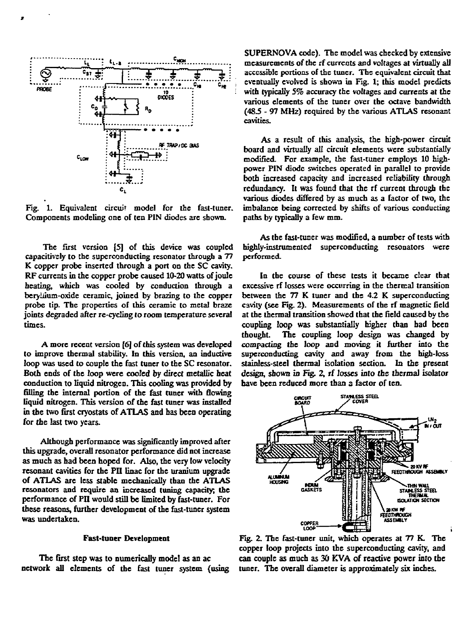

**Fig. 1. Equivalent circuit model for the fast-tuner. Components modeling one of ten PIN diodes are shown.**

**The first version [5] of this device was coupled capacitivsly to the superconducting resonator through a 77 K copper probe inserted through a port on the SC cavity. RF currents in the copper probe caused 10-20 watts of joule heating, which was cooled by conduction through a beryliium-oxide ceramic, joined by brazing to the copper probe tip. The properties of this ceramic to metal braze joints degraded after re-cycling to room temperature several times.**

**A more recent version [6] of this system was developed to improve thermal stability. In this version, an inductive loop was used to couple the fast tuner to the SC resonator. Both ends of the loop were cooled by direct metallic heat conductioa to liquid nitrogen. This cooling was provided by filling the internal portion of the fast tuner with flowing liquid nitrogen. This version of the fast tuner was installed in the two first cryostats of ATLAS and has been operating for the last two years.**

**Although performance was significantly improved after this upgrade, overall resonator performance did not increase as much as had been hoped for. Also, the very low velocity resonant cavities for the PII linac for the uranium upgrade of ATLAS are less stable mechanically than the ATLAS resonators and require an increased tuning capacity; the performance of PII would still be limited by fast-tuner. For these reasons, further development of the fast-tuner system was undertaken.**

## **Fast-tuner Development**

**The first step was to numerically mode! as an ac network all elements of the fast tuner system (using** **SUPERNOVA code). The model was checked by extensive measurements of the rf currents and voltages at virtually all** accessible portions of the tuner. The equivalent circuit that **eventually evolved is shown in Fig. 1; this model predicts with typically 5% accuracy the voltages and currents at the various elements of the tuner over the octave bandwidth (48.5 - 97 MHz) required by the various ATLAS resonant cavities.**

**As a result of this analysis, the high-power circuit board and virtually all circuit elements were substantially modified. For example, the fast-tuner employs 10 highpower PIN diode switches operated in parallel to provide both increased capacity and increased reliability through redundancy. It was found that the rf current through the various diodes differed by as much as a factor of two, the imbalance being corrected by shifts of various conducting paths by typically a few mm.**

**As the fast-tuner was modified, a number of tests with highly-instrumented superconducting resonators were performed.**

**In the course of these tests it became clear that excessive rf losses were occurring in the thermal transition between the 77 K tuner and the 4.2 K superconducting cavity (see Fig. 2). Measurements of the rf magnetic field at the thermal transition showed that the field caused by the coupling loop was substantially higher than bad been thought. The coupling loop design was changed by compacting the loop and moving it further into the superconducting cavity and away from the high-loss stainless-steel thermal isolation section. In the present design, shown io Fig. 2, rf losses into the thermal isolator have been reduced more than a factor of ten.**



**Fig. 2. The fast-tuner unit, which operates at 77 K. The copper loop projects into the superconducting cavity, and can couple as much as 30 KVA of reactive power into the tuner. The overall diameter is approximately six inches.**